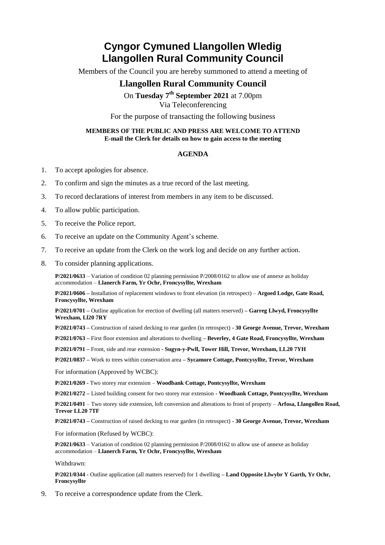## **Cyngor Cymuned Llangollen Wledig Llangollen Rural Community Council**

Members of the Council you are hereby summoned to attend a meeting of

## **Llangollen Rural Community Council**

On **Tuesday 7 th September 2021** at 7.00pm Via Teleconferencing

For the purpose of transacting the following business

## **MEMBERS OF THE PUBLIC AND PRESS ARE WELCOME TO ATTEND E-mail the Clerk for details on how to gain access to the meeting**

## **AGENDA**

- 1. To accept apologies for absence.
- 2. To confirm and sign the minutes as a true record of the last meeting.
- 3. To record declarations of interest from members in any item to be discussed.
- 4. To allow public participation.
- 5. To receive the Police report.
- 6. To receive an update on the Community Agent's scheme.
- 7. To receive an update from the Clerk on the work log and decide on any further action.
- 8. To consider planning applications.

**P/2021/0633** – Variation of condition 02 planning permission P/2008/0162 to allow use of annexe as holiday accommodation – **Llanerch Farm, Yr Ochr, Froncysyllte, Wrexham**

**P/2021/0606 –** Installation of replacement windows to front elevation (in retrospect) – **Argoed Lodge, Gate Road, Froncysyllte, Wrexham**

**P/2021/0701 –** Outline application for erection of dwelling (all matters reserved) **– Garreg Llwyd, Froncysyllte Wrexham, Ll20 7RY**

**P/2021/0743 –** Construction of raised decking to rear garden (in retrospect) **- 30 George Avenue, Trevor, Wrexham**

**P/2021/0763 –** First floor extension and alterations to dwelling **– Beverley, 4 Gate Road, Froncysyllte, Wrexham**

**P/2021/0791 –** Front, side and rear extension **- Sugyn-y-Pwll, Tower Hill, Trevor, Wrexham, LL20 7YH** 

**P/2021/0837 –** Work to trees within conservation area **– Sycamore Cottage, Pontcysyllte, Trevor, Wrexham**

For information (Approved by WCBC):

**P/2021/0269 -** Two storey rear extension – **Woodbank Cottage, Pontcysyllte, Wrexham**

**P/2021/0272 –** Listed building consent for two storey rear extension **- Woodbank Cottage, Pontcysyllte, Wrexham**

**P/2021/0491** – Two storey side extension, loft conversion and alterations to front of property – **Arfosa, Llangollen Road, Trevor LL20 7TF**

**P/2021/0743 –** Construction of raised decking to rear garden (in retrospect) **- 30 George Avenue, Trevor, Wrexham**

For information (Refused by WCBC):

**P/2021/0633** – Variation of condition 02 planning permission P/2008/0162 to allow use of annexe as holiday accommodation – **Llanerch Farm, Yr Ochr, Froncysyllte, Wrexham**

Withdrawn:

**P/2021/0344 -** Outline application (all matters reserved) for 1 dwelling **– Land Opposite Llwybr Y Garth, Yr Ochr, Froncysyllte**

9. To receive a correspondence update from the Clerk.